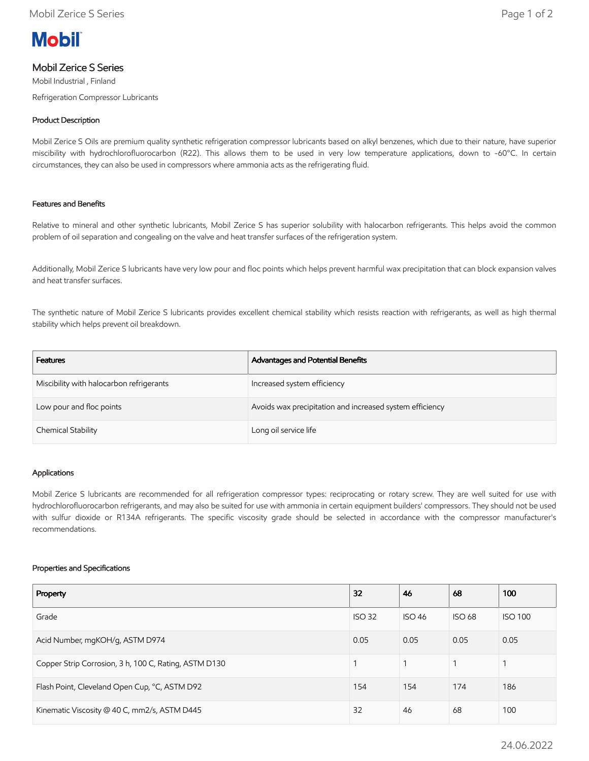

# Mobil Zerice S Series

Mobil Industrial , Finland

Refrigeration Compressor Lubricants

## Product Description

Mobil Zerice S Oils are premium quality synthetic refrigeration compressor lubricants based on alkyl benzenes, which due to their nature, have superior miscibility with hydrochlorofluorocarbon (R22). This allows them to be used in very low temperature applications, down to -60°C. In certain circumstances, they can also be used in compressors where ammonia acts as the refrigerating fluid.

## Features and Benefits

Relative to mineral and other synthetic lubricants, Mobil Zerice S has superior solubility with halocarbon refrigerants. This helps avoid the common problem of oil separation and congealing on the valve and heat transfer surfaces of the refrigeration system.

Additionally, Mobil Zerice S lubricants have very low pour and floc points which helps prevent harmful wax precipitation that can block expansion valves and heat transfer surfaces.

The synthetic nature of Mobil Zerice S lubricants provides excellent chemical stability which resists reaction with refrigerants, as well as high thermal stability which helps prevent oil breakdown.

| Features                                 | Advantages and Potential Benefits                        |
|------------------------------------------|----------------------------------------------------------|
| Miscibility with halocarbon refrigerants | Increased system efficiency                              |
| Low pour and floc points                 | Avoids wax precipitation and increased system efficiency |
| Chemical Stability                       | Long oil service life                                    |

## Applications

Mobil Zerice S lubricants are recommended for all refrigeration compressor types: reciprocating or rotary screw. They are well suited for use with hydrochlorofluorocarbon refrigerants, and may also be suited for use with ammonia in certain equipment builders' compressors. They should not be used with sulfur dioxide or R134A refrigerants. The specific viscosity grade should be selected in accordance with the compressor manufacturer's recommendations.

#### Properties and Specifications

| Property                                              | 32            | 46            | 68            | 100            |
|-------------------------------------------------------|---------------|---------------|---------------|----------------|
| Grade                                                 | <b>ISO 32</b> | <b>ISO 46</b> | <b>ISO 68</b> | <b>ISO 100</b> |
| Acid Number, mgKOH/g, ASTM D974                       | 0.05          | 0.05          | 0.05          | 0.05           |
| Copper Strip Corrosion, 3 h, 100 C, Rating, ASTM D130 |               |               |               |                |
| Flash Point, Cleveland Open Cup, °C, ASTM D92         | 154           | 154           | 174           | 186            |
| Kinematic Viscosity @ 40 C, mm2/s, ASTM D445          | 32            | 46            | 68            | 100            |